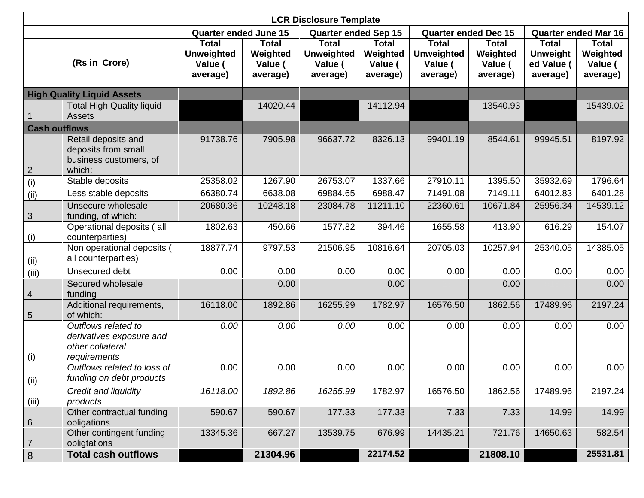|                      |                                                                                     |                                                          |                                                 | <b>LCR Disclosure Template</b>                           |                                                 |                                                          |                                                 |                                                           |                                                 |
|----------------------|-------------------------------------------------------------------------------------|----------------------------------------------------------|-------------------------------------------------|----------------------------------------------------------|-------------------------------------------------|----------------------------------------------------------|-------------------------------------------------|-----------------------------------------------------------|-------------------------------------------------|
|                      |                                                                                     | <b>Quarter ended June 15</b>                             |                                                 | <b>Quarter ended Sep 15</b>                              |                                                 | <b>Quarter ended Dec 15</b>                              |                                                 | <b>Quarter ended Mar 16</b>                               |                                                 |
|                      | (Rs in Crore)                                                                       | <b>Total</b><br><b>Unweighted</b><br>Value (<br>average) | <b>Total</b><br>Weighted<br>Value (<br>average) | <b>Total</b><br><b>Unweighted</b><br>Value (<br>average) | <b>Total</b><br>Weighted<br>Value (<br>average) | <b>Total</b><br><b>Unweighted</b><br>Value (<br>average) | <b>Total</b><br>Weighted<br>Value (<br>average) | <b>Total</b><br><b>Unweight</b><br>ed Value (<br>average) | <b>Total</b><br>Weighted<br>Value (<br>average) |
|                      | <b>High Quality Liquid Assets</b>                                                   |                                                          |                                                 |                                                          |                                                 |                                                          |                                                 |                                                           |                                                 |
|                      | <b>Total High Quality liquid</b><br><b>Assets</b>                                   |                                                          | 14020.44                                        |                                                          | 14112.94                                        |                                                          | 13540.93                                        |                                                           | 15439.02                                        |
| <b>Cash outflows</b> |                                                                                     |                                                          |                                                 |                                                          |                                                 |                                                          |                                                 |                                                           |                                                 |
| $\overline{2}$       | Retail deposits and<br>deposits from small<br>business customers, of<br>which:      | 91738.76                                                 | 7905.98                                         | 96637.72                                                 | 8326.13                                         | 99401.19                                                 | 8544.61                                         | 99945.51                                                  | 8197.92                                         |
| (i)                  | Stable deposits                                                                     | 25358.02                                                 | 1267.90                                         | 26753.07                                                 | 1337.66                                         | 27910.11                                                 | 1395.50                                         | 35932.69                                                  | 1796.64                                         |
| (ii)                 | Less stable deposits                                                                | 66380.74                                                 | 6638.08                                         | 69884.65                                                 | 6988.47                                         | 71491.08                                                 | 7149.11                                         | 64012.83                                                  | 6401.28                                         |
| $\sqrt{3}$           | Unsecure wholesale<br>funding, of which:                                            | 20680.36                                                 | 10248.18                                        | 23084.78                                                 | 11211.10                                        | 22360.61                                                 | 10671.84                                        | 25956.34                                                  | 14539.12                                        |
| (i)                  | Operational deposits (all<br>counterparties)                                        | 1802.63                                                  | 450.66                                          | 1577.82                                                  | 394.46                                          | 1655.58                                                  | 413.90                                          | 616.29                                                    | 154.07                                          |
| (i)                  | Non operational deposits (<br>all counterparties)                                   | 18877.74                                                 | 9797.53                                         | 21506.95                                                 | 10816.64                                        | 20705.03                                                 | 10257.94                                        | 25340.05                                                  | 14385.05                                        |
| (iii)                | Unsecured debt                                                                      | 0.00                                                     | 0.00                                            | 0.00                                                     | 0.00                                            | 0.00                                                     | 0.00                                            | 0.00                                                      | 0.00                                            |
| $\overline{4}$       | Secured wholesale<br>funding                                                        |                                                          | 0.00                                            |                                                          | 0.00                                            |                                                          | 0.00                                            |                                                           | 0.00                                            |
| $\sqrt{5}$           | Additional requirements,<br>of which:                                               | 16118.00                                                 | 1892.86                                         | 16255.99                                                 | 1782.97                                         | 16576.50                                                 | 1862.56                                         | 17489.96                                                  | 2197.24                                         |
| (i)                  | Outflows related to<br>derivatives exposure and<br>other collateral<br>requirements | 0.00                                                     | 0.00                                            | 0.00                                                     | 0.00                                            | 0.00                                                     | 0.00                                            | 0.00                                                      | 0.00                                            |
| (ii)                 | Outflows related to loss of<br>funding on debt products                             | 0.00                                                     | 0.00                                            | 0.00                                                     | 0.00                                            | 0.00                                                     | 0.00                                            | 0.00                                                      | 0.00                                            |
| (iii)                | Credit and liquidity<br>products                                                    | 16118.00                                                 | 1892.86                                         | 16255.99                                                 | 1782.97                                         | 16576.50                                                 | 1862.56                                         | 17489.96                                                  | 2197.24                                         |
| $6\phantom{1}6$      | Other contractual funding<br>obligations                                            | 590.67                                                   | 590.67                                          | 177.33                                                   | 177.33                                          | 7.33                                                     | 7.33                                            | 14.99                                                     | 14.99                                           |
| $\overline{7}$       | Other contingent funding<br>obligtations                                            | 13345.36                                                 | 667.27                                          | 13539.75                                                 | 676.99                                          | 14435.21                                                 | 721.76                                          | 14650.63                                                  | 582.54                                          |
| $\,8\,$              | <b>Total cash outflows</b>                                                          |                                                          | 21304.96                                        |                                                          | 22174.52                                        |                                                          | 21808.10                                        |                                                           | 25531.81                                        |